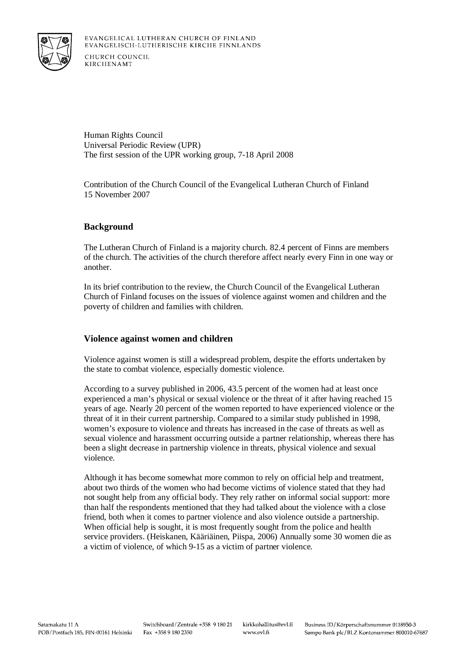Human Rights Council Universal Periodic Review (UPR) The first session of the UPR working group, 7-18 April 2008

Contribution of the Church Council of the Evangelical Lutheran Church of Finland 15 November 2007

## **Background**

The Lutheran Church of Finland is a majority church. 82.4 percent of Finns are members of the church. The activities of the church therefore affect nearly every Finn in one way or another.

In its brief contribution to the review, the Church Council of the Evangelical Lutheran Church of Finland focuses on the issues of violence against women and children and the poverty of children and families with children.

## **Violence against women and children**

Violence against women is still a widespread problem, despite the efforts undertaken by the state to combat violence, especially domestic violence.

According to a survey published in 2006, 43.5 percent of the women had at least once experienced a man's physical or sexual violence or the threat of it after having reached 15 years of age. Nearly 20 percent of the women reported to have experienced violence or the threat of it in their current partnership. Compared to a similar study published in 1998, women's exposure to violence and threats has increased in the case of threats as well as sexual violence and harassment occurring outside a partner relationship, whereas there has been a slight decrease in partnership violence in threats, physical violence and sexual violence.

Although it has become somewhat more common to rely on official help and treatment, about two thirds of the women who had become victims of violence stated that they had not sought help from any official body. They rely rather on informal social support: more than half the respondents mentioned that they had talked about the violence with a close friend, both when it comes to partner violence and also violence outside a partnership. When official help is sought, it is most frequently sought from the police and health service providers. (Heiskanen, Kääriäinen, Piispa, 2006) Annually some 30 women die as a victim of violence, of which 9-15 as a victim of partner violence.

Switchboard/Zentrale +358 9 180 21 kirkkohallitus@evl.fi Fax +358 9 180 2350

www.evl.fi